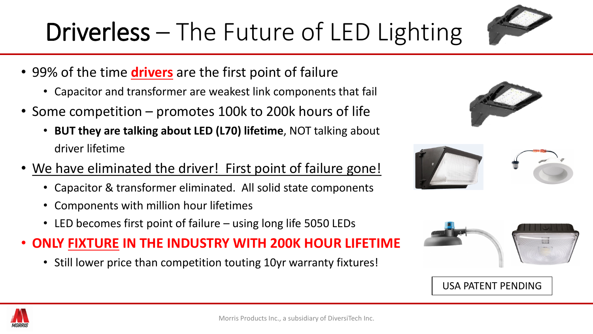

- 99% of the time **drivers** are the first point of failure
	- Capacitor and transformer are weakest link components that fail
- Some competition promotes 100k to 200k hours of life
	- **BUT they are talking about LED (L70) lifetime**, NOT talking about driver lifetime
- We have eliminated the driver! First point of failure gone!
	- Capacitor & transformer eliminated. All solid state components
	- Components with million hour lifetimes
	- LED becomes first point of failure using long life 5050 LEDs
- **ONLY FIXTURE IN THE INDUSTRY WITH 200K HOUR LIFETIME**
	- Still lower price than competition touting 10yr warranty fixtures!



| $\circ$                                                                                                                                                                                                                                                                                                                                                                                                                                                                                                                                                                                                                                                                                                                                                                                                                                                                                                                                                                                                                                                                                                                                                                                                                                                                       |  |
|-------------------------------------------------------------------------------------------------------------------------------------------------------------------------------------------------------------------------------------------------------------------------------------------------------------------------------------------------------------------------------------------------------------------------------------------------------------------------------------------------------------------------------------------------------------------------------------------------------------------------------------------------------------------------------------------------------------------------------------------------------------------------------------------------------------------------------------------------------------------------------------------------------------------------------------------------------------------------------------------------------------------------------------------------------------------------------------------------------------------------------------------------------------------------------------------------------------------------------------------------------------------------------|--|
| of the control of the control of the control of the control of the control of the control of the control of the control of the control of the control of the control of the control of the control of the control of the contr<br>$\sqrt{1-\frac{1}{2}}$<br>$\label{eq:2} \begin{minipage}[t]{0.03\textwidth} \begin{minipage}[t]{0.03\textwidth} \centering \begin{minipage}[t]{0.03\textwidth} \centering \end{minipage}[t]{0.03\textwidth} \begin{minipage}[t]{0.03\textwidth} \centering \end{minipage}[t]{0.03\textwidth} \begin{minipage}[t]{0.03\textwidth} \centering \end{minipage}[t]{0.03\textwidth} \begin{minipage}[t]{0.03\textwidth} \centering \end{minipage}[t]{0.03\textwidth} \begin{minipage}[t]{0.03\textwidth} \centering \end{minipage}[t$<br>The construction of the construction of the construction of the construction of the construction of the construction of the construction of the construction of the construction of the construction of the construction of th<br><b>CONTRACTOR</b> CONTRACTOR<br><b>TOTAL CO</b><br><b>ATTEMPTED IN THE CARD COMPANY OF STREET</b><br>Thinks<br><b>Processing a fire of the contract of the con-</b><br><b>STARRA</b><br><b>PERSONAL PROPERTY</b><br><b>CONSULTANT</b><br>Crewency<br><b>STATISTICS</b> |  |



### USA PATENT PENDING

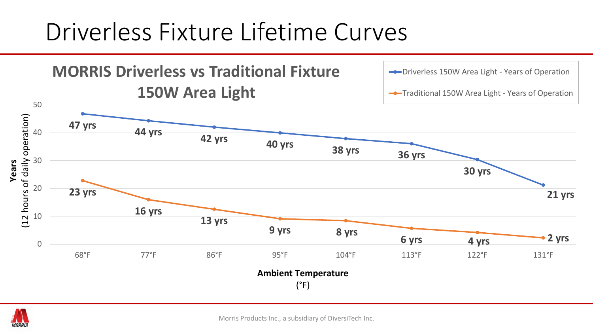## Driverless Fixture Lifetime Curves





Morris Products Inc., a subsidiary of DiversiTech Inc.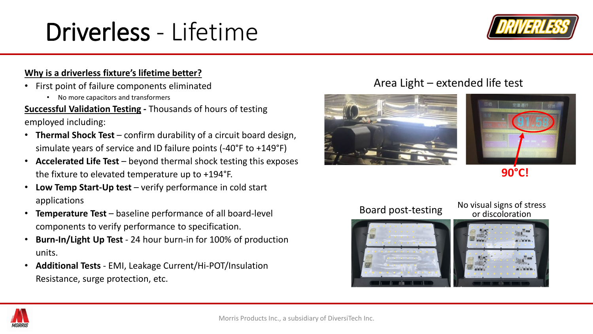# Driverless - Lifetime



### **Why is a driverless fixture's lifetime better?**

- First point of failure components eliminated
	- No more capacitors and transformers

**Successful Validation Testing -** Thousands of hours of testing employed including:

- **Thermal Shock Test** confirm durability of a circuit board design, simulate years of service and ID failure points (-40°F to +149°F)
- **Accelerated Life Test** beyond thermal shock testing this exposes the fixture to elevated temperature up to +194°F.
- **Low Temp Start-Up test** verify performance in cold start applications
- **Temperature Test**  baseline performance of all board-level components to verify performance to specification.
- **Burn-In/Light Up Test**  24 hour burn-in for 100% of production units.
- **Additional Tests**  EMI, Leakage Current/Hi-POT/Insulation Resistance, surge protection, etc.

## Area Light – extended life test





**90°C!**